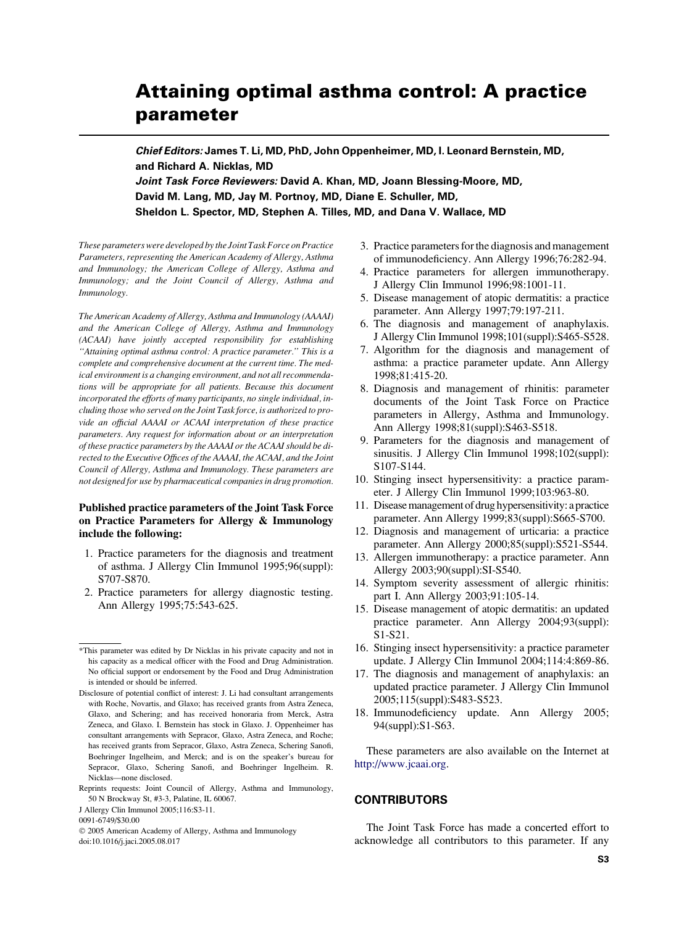# Attaining optimal asthma control: A practice parameter

Chief Editors: James T. Li, MD, PhD, John Oppenheimer, MD, I. Leonard Bernstein, MD, and Richard A. Nicklas, MD

Joint Task Force Reviewers: David A. Khan, MD, Joann Blessing-Moore, MD, David M. Lang, MD, Jay M. Portnoy, MD, Diane E. Schuller, MD, Sheldon L. Spector, MD, Stephen A. Tilles, MD, and Dana V. Wallace, MD

These parameters were developed by the Joint Task Force on Practice Parameters, representing the American Academy of Allergy, Asthma and Immunology; the American College of Allergy, Asthma and Immunology; and the Joint Council of Allergy, Asthma and Immunology.

The American Academy of Allergy, Asthma and Immunology (AAAAI) and the American College of Allergy, Asthma and Immunology (ACAAI) have jointly accepted responsibility for establishing ''Attaining optimal asthma control: A practice parameter.'' This is a complete and comprehensive document at the current time. The medical environment is a changing environment, and not all recommendations will be appropriate for all patients. Because this document incorporated the efforts of many participants, no single individual, including those who served on the Joint Task force, is authorized to provide an official AAAAI or ACAAI interpretation of these practice parameters. Any request for information about or an interpretation of these practice parameters by the AAAAI or the ACAAI should be directed to the Executive Offices of the AAAAI, the ACAAI, and the Joint Council of Allergy, Asthma and Immunology. These parameters are not designed for use by pharmaceutical companies in drug promotion.

#### Published practice parameters of the Joint Task Force on Practice Parameters for Allergy & Immunology include the following:

- 1. Practice parameters for the diagnosis and treatment of asthma. J Allergy Clin Immunol 1995;96(suppl): S707-S870.
- 2. Practice parameters for allergy diagnostic testing. Ann Allergy 1995;75:543-625.

doi:10.1016/j.jaci.2005.08.017

- 3. Practice parameters for the diagnosis and management of immunodeficiency. Ann Allergy 1996;76:282-94.
- 4. Practice parameters for allergen immunotherapy. J Allergy Clin Immunol 1996;98:1001-11.
- 5. Disease management of atopic dermatitis: a practice parameter. Ann Allergy 1997;79:197-211.
- 6. The diagnosis and management of anaphylaxis. J Allergy Clin Immunol 1998;101(suppl):S465-S528.
- 7. Algorithm for the diagnosis and management of asthma: a practice parameter update. Ann Allergy 1998;81:415-20.
- 8. Diagnosis and management of rhinitis: parameter documents of the Joint Task Force on Practice parameters in Allergy, Asthma and Immunology. Ann Allergy 1998;81(suppl):S463-S518.
- 9. Parameters for the diagnosis and management of sinusitis. J Allergy Clin Immunol 1998;102(suppl): S107-S144.
- 10. Stinging insect hypersensitivity: a practice parameter. J Allergy Clin Immunol 1999;103:963-80.
- 11. Disease management of drug hypersensitivity: a practice parameter. Ann Allergy 1999;83(suppl):S665-S700.
- 12. Diagnosis and management of urticaria: a practice parameter. Ann Allergy 2000;85(suppl):S521-S544.
- 13. Allergen immunotherapy: a practice parameter. Ann Allergy 2003;90(suppl):SI-S540.
- 14. Symptom severity assessment of allergic rhinitis: part I. Ann Allergy 2003;91:105-14.
- 15. Disease management of atopic dermatitis: an updated practice parameter. Ann Allergy 2004;93(suppl): S1-S21.
- 16. Stinging insect hypersensitivity: a practice parameter update. J Allergy Clin Immunol 2004;114:4:869-86.
- 17. The diagnosis and management of anaphylaxis: an updated practice parameter. J Allergy Clin Immunol 2005;115(suppl):S483-S523.
- 18. Immunodeficiency update. Ann Allergy 2005; 94(suppl):S1-S63.

These parameters are also available on the Internet at [http://www.jcaai.org.](http://www.jcaai.org)

### **CONTRIBUTORS**

The Joint Task Force has made a concerted effort to acknowledge all contributors to this parameter. If any

<sup>\*</sup>This parameter was edited by Dr Nicklas in his private capacity and not in his capacity as a medical officer with the Food and Drug Administration. No official support or endorsement by the Food and Drug Administration is intended or should be inferred.

Disclosure of potential conflict of interest: J. Li had consultant arrangements with Roche, Novartis, and Glaxo; has received grants from Astra Zeneca, Glaxo, and Schering; and has received honoraria from Merck, Astra Zeneca, and Glaxo. I. Bernstein has stock in Glaxo. J. Oppenheimer has consultant arrangements with Sepracor, Glaxo, Astra Zeneca, and Roche; has received grants from Sepracor, Glaxo, Astra Zeneca, Schering Sanofi, Boehringer Ingelheim, and Merck; and is on the speaker's bureau for Sepracor, Glaxo, Schering Sanofi, and Boehringer Ingelheim. R. Nicklas—none disclosed.

Reprints requests: Joint Council of Allergy, Asthma and Immunology, 50 N Brockway St, #3-3, Palatine, IL 60067.

J Allergy Clin Immunol 2005;116:S3-11.

<sup>0091-6749/\$30.00</sup>

2005 American Academy of Allergy, Asthma and Immunology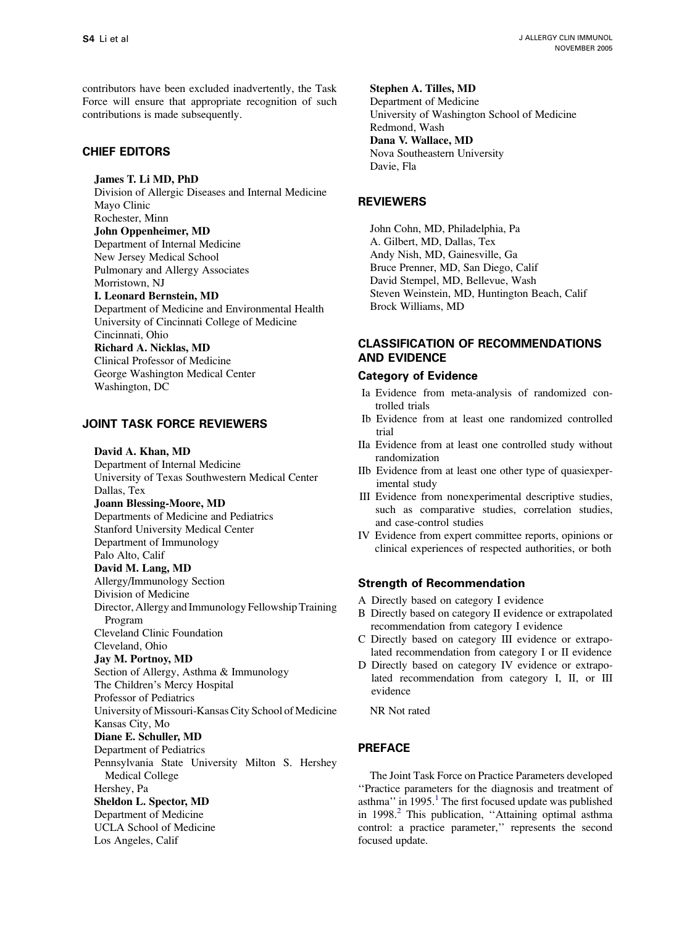contributors have been excluded inadvertently, the Task Force will ensure that appropriate recognition of such contributions is made subsequently.

# CHIEF EDITORS

James T. Li MD, PhD

Division of Allergic Diseases and Internal Medicine Mayo Clinic Rochester, Minn

John Oppenheimer, MD

Department of Internal Medicine New Jersey Medical School Pulmonary and Allergy Associates Morristown, NJ

I. Leonard Bernstein, MD

Department of Medicine and Environmental Health University of Cincinnati College of Medicine Cincinnati, Ohio Richard A. Nicklas, MD Clinical Professor of Medicine George Washington Medical Center Washington, DC

# JOINT TASK FORCE REVIEWERS

David A. Khan, MD

Department of Internal Medicine University of Texas Southwestern Medical Center Dallas, Tex Joann Blessing-Moore, MD Departments of Medicine and Pediatrics Stanford University Medical Center Department of Immunology Palo Alto, Calif David M. Lang, MD Allergy/Immunology Section Division of Medicine Director, Allergy and Immunology Fellowship Training Program Cleveland Clinic Foundation Cleveland, Ohio Jay M. Portnoy, MD Section of Allergy, Asthma & Immunology The Children's Mercy Hospital Professor of Pediatrics University of Missouri-Kansas City School of Medicine Kansas City, Mo Diane E. Schuller, MD Department of Pediatrics Pennsylvania State University Milton S. Hershey Medical College Hershey, Pa Sheldon L. Spector, MD Department of Medicine UCLA School of Medicine Los Angeles, Calif

Stephen A. Tilles, MD Department of Medicine University of Washington School of Medicine Redmond, Wash Dana V. Wallace, MD Nova Southeastern University Davie, Fla

# **REVIEWERS**

John Cohn, MD, Philadelphia, Pa A. Gilbert, MD, Dallas, Tex Andy Nish, MD, Gainesville, Ga Bruce Prenner, MD, San Diego, Calif David Stempel, MD, Bellevue, Wash Steven Weinstein, MD, Huntington Beach, Calif Brock Williams, MD

# CLASSIFICATION OF RECOMMENDATIONS AND EVIDENCE

#### Category of Evidence

- Ia Evidence from meta-analysis of randomized controlled trials
- Ib Evidence from at least one randomized controlled trial
- IIa Evidence from at least one controlled study without randomization
- IIb Evidence from at least one other type of quasiexperimental study
- III Evidence from nonexperimental descriptive studies, such as comparative studies, correlation studies, and case-control studies
- IV Evidence from expert committee reports, opinions or clinical experiences of respected authorities, or both

# Strength of Recommendation

- A Directly based on category I evidence
- B Directly based on category II evidence or extrapolated recommendation from category I evidence
- C Directly based on category III evidence or extrapolated recommendation from category I or II evidence
- D Directly based on category IV evidence or extrapolated recommendation from category I, II, or III evidence

NR Not rated

# PREFACE

The Joint Task Force on Practice Parameters developed ''Practice parameters for the diagnosis and treatment of asthma" in  $1995$  $1995$ .<sup>1</sup> The first focused update was published in 1998.<sup>[2](#page-7-0)</sup> This publication, "Attaining optimal asthma control: a practice parameter,'' represents the second focused update.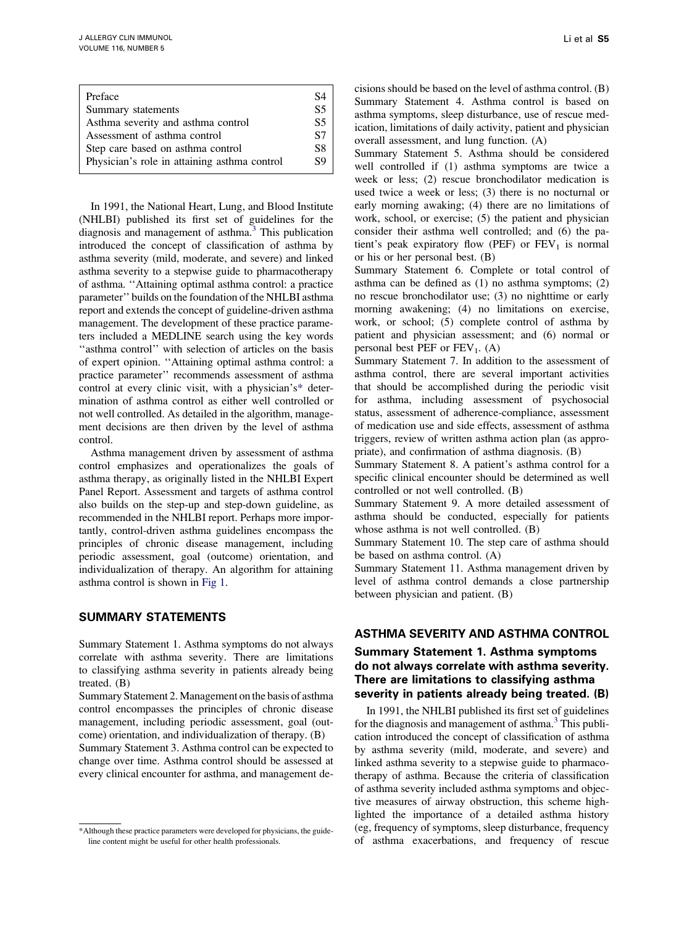| Preface                                      | S4 |
|----------------------------------------------|----|
| Summary statements                           | S5 |
| Asthma severity and asthma control           | S5 |
| Assessment of asthma control                 | S7 |
| Step care based on asthma control            | S8 |
| Physician's role in attaining asthma control | S9 |

In 1991, the National Heart, Lung, and Blood Institute (NHLBI) published its first set of guidelines for the diagnosis and management of asthma.<sup>[3](#page-7-0)</sup> This publication introduced the concept of classification of asthma by asthma severity (mild, moderate, and severe) and linked asthma severity to a stepwise guide to pharmacotherapy of asthma. ''Attaining optimal asthma control: a practice parameter'' builds on the foundation of the NHLBI asthma report and extends the concept of guideline-driven asthma management. The development of these practice parameters included a MEDLINE search using the key words ''asthma control'' with selection of articles on the basis of expert opinion. ''Attaining optimal asthma control: a practice parameter'' recommends assessment of asthma control at every clinic visit, with a physician's\* determination of asthma control as either well controlled or not well controlled. As detailed in the algorithm, management decisions are then driven by the level of asthma control.

Asthma management driven by assessment of asthma control emphasizes and operationalizes the goals of asthma therapy, as originally listed in the NHLBI Expert Panel Report. Assessment and targets of asthma control also builds on the step-up and step-down guideline, as recommended in the NHLBI report. Perhaps more importantly, control-driven asthma guidelines encompass the principles of chronic disease management, including periodic assessment, goal (outcome) orientation, and individualization of therapy. An algorithm for attaining asthma control is shown in [Fig 1](#page-3-0).

#### SUMMARY STATEMENTS

Summary Statement 1. Asthma symptoms do not always correlate with asthma severity. There are limitations to classifying asthma severity in patients already being treated. (B)

Summary Statement 2. Management on the basis of asthma control encompasses the principles of chronic disease management, including periodic assessment, goal (outcome) orientation, and individualization of therapy. (B)

Summary Statement 3. Asthma control can be expected to change over time. Asthma control should be assessed at every clinical encounter for asthma, and management deSummary Statement 5. Asthma should be considered well controlled if (1) asthma symptoms are twice a week or less; (2) rescue bronchodilator medication is used twice a week or less; (3) there is no nocturnal or early morning awaking; (4) there are no limitations of work, school, or exercise; (5) the patient and physician consider their asthma well controlled; and (6) the patient's peak expiratory flow (PEF) or  $FEV<sub>1</sub>$  is normal or his or her personal best. (B)

Summary Statement 6. Complete or total control of asthma can be defined as (1) no asthma symptoms; (2) no rescue bronchodilator use; (3) no nighttime or early morning awakening; (4) no limitations on exercise, work, or school; (5) complete control of asthma by patient and physician assessment; and (6) normal or personal best PEF or  $FEV_1$ . (A)

Summary Statement 7. In addition to the assessment of asthma control, there are several important activities that should be accomplished during the periodic visit for asthma, including assessment of psychosocial status, assessment of adherence-compliance, assessment of medication use and side effects, assessment of asthma triggers, review of written asthma action plan (as appropriate), and confirmation of asthma diagnosis. (B)

Summary Statement 8. A patient's asthma control for a specific clinical encounter should be determined as well controlled or not well controlled. (B)

Summary Statement 9. A more detailed assessment of asthma should be conducted, especially for patients whose asthma is not well controlled. (B)

Summary Statement 10. The step care of asthma should be based on asthma control. (A)

Summary Statement 11. Asthma management driven by level of asthma control demands a close partnership between physician and patient. (B)

# ASTHMA SEVERITY AND ASTHMA CONTROL

# Summary Statement 1. Asthma symptoms do not always correlate with asthma severity. There are limitations to classifying asthma severity in patients already being treated. (B)

In 1991, the NHLBI published its first set of guidelines for the diagnosis and management of asthma. $3$  This publication introduced the concept of classification of asthma by asthma severity (mild, moderate, and severe) and linked asthma severity to a stepwise guide to pharmacotherapy of asthma. Because the criteria of classification of asthma severity included asthma symptoms and objective measures of airway obstruction, this scheme highlighted the importance of a detailed asthma history (eg, frequency of symptoms, sleep disturbance, frequency of asthma exacerbations, and frequency of rescue

<sup>\*</sup>Although these practice parameters were developed for physicians, the guideline content might be useful for other health professionals.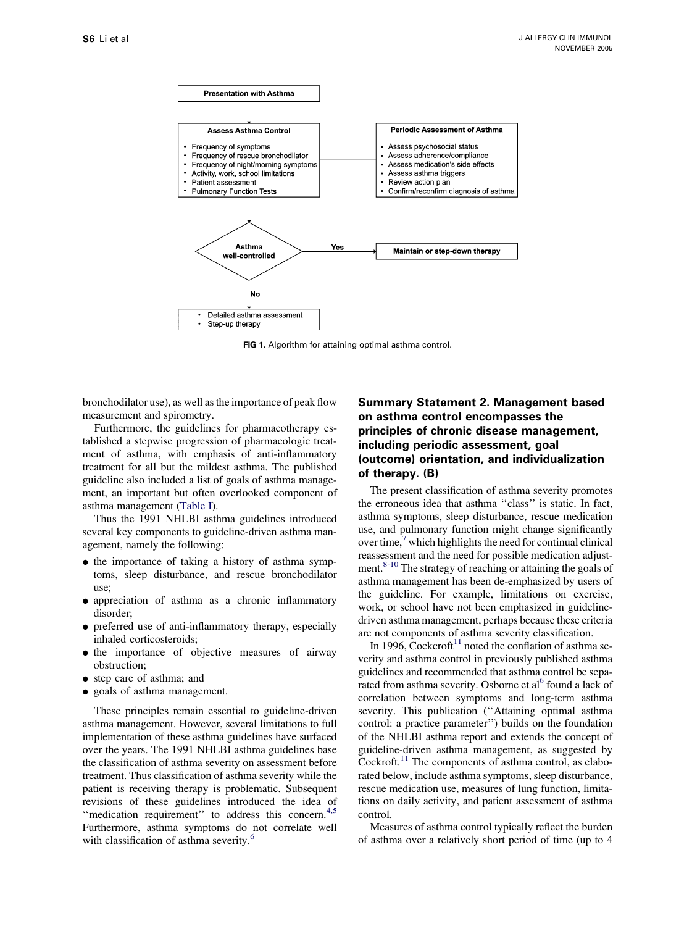<span id="page-3-0"></span>

FIG 1. Algorithm for attaining optimal asthma control.

bronchodilator use), as well as the importance of peak flow measurement and spirometry.

Furthermore, the guidelines for pharmacotherapy established a stepwise progression of pharmacologic treatment of asthma, with emphasis of anti-inflammatory treatment for all but the mildest asthma. The published guideline also included a list of goals of asthma management, an important but often overlooked component of asthma management [\(Table I](#page-4-0)).

Thus the 1991 NHLBI asthma guidelines introduced several key components to guideline-driven asthma management, namely the following:

- the importance of taking a history of asthma symptoms, sleep disturbance, and rescue bronchodilator use;
- <sup>d</sup> appreciation of asthma as a chronic inflammatory disorder;
- preferred use of anti-inflammatory therapy, especially inhaled corticosteroids;
- $\bullet$  the importance of objective measures of airway obstruction;
- step care of asthma; and
- <sup>d</sup> goals of asthma management.

These principles remain essential to guideline-driven asthma management. However, several limitations to full implementation of these asthma guidelines have surfaced over the years. The 1991 NHLBI asthma guidelines base the classification of asthma severity on assessment before treatment. Thus classification of asthma severity while the patient is receiving therapy is problematic. Subsequent revisions of these guidelines introduced the idea of "medication requirement" to address this concern.<sup>[4,5](#page-7-0)</sup> Furthermore, asthma symptoms do not correlate well with classification of asthma severity.<sup>[6](#page-7-0)</sup>

# Summary Statement 2. Management based on asthma control encompasses the principles of chronic disease management, including periodic assessment, goal (outcome) orientation, and individualization of therapy. (B)

The present classification of asthma severity promotes the erroneous idea that asthma ''class'' is static. In fact, asthma symptoms, sleep disturbance, rescue medication use, and pulmonary function might change significantly over time, $\frac{7}{1}$  $\frac{7}{1}$  $\frac{7}{1}$  which highlights the need for continual clinical reassessment and the need for possible medication adjustment. $8-10$  The strategy of reaching or attaining the goals of asthma management has been de-emphasized by users of the guideline. For example, limitations on exercise, work, or school have not been emphasized in guidelinedriven asthma management, perhaps because these criteria are not components of asthma severity classification.

In 1996, Cockcroft<sup>11</sup> noted the conflation of asthma severity and asthma control in previously published asthma guidelines and recommended that asthma control be sepa-rated from asthma severity. Osborne et al<sup>[6](#page-7-0)</sup> found a lack of correlation between symptoms and long-term asthma severity. This publication ("Attaining optimal asthma control: a practice parameter'') builds on the foundation of the NHLBI asthma report and extends the concept of guideline-driven asthma management, as suggested by Cockroft.<sup>[11](#page-7-0)</sup> The components of asthma control, as elaborated below, include asthma symptoms, sleep disturbance, rescue medication use, measures of lung function, limitations on daily activity, and patient assessment of asthma control.

Measures of asthma control typically reflect the burden of asthma over a relatively short period of time (up to 4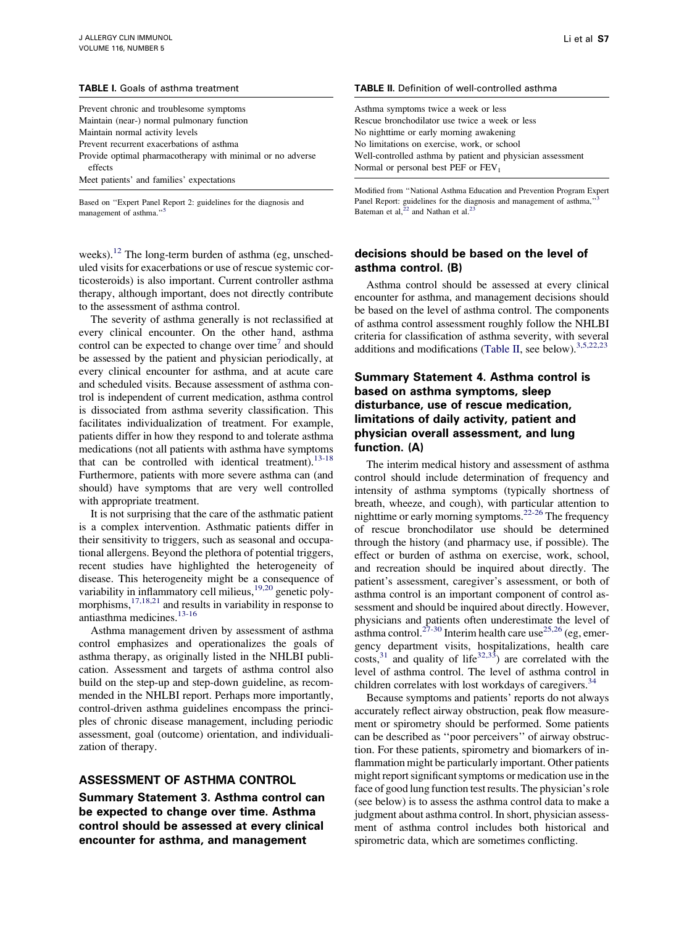#### <span id="page-4-0"></span>TABLE I. Goals of asthma treatment

| Prevent chronic and troublesome symptoms                              |
|-----------------------------------------------------------------------|
| Maintain (near-) normal pulmonary function                            |
| Maintain normal activity levels                                       |
| Prevent recurrent exacerbations of asthma                             |
| Provide optimal pharmacotherapy with minimal or no adverse<br>effects |
| Meet patients' and families' expectations                             |

Based on ''Expert Panel Report 2: guidelines for the diagnosis and management of asthma."<sup>[5](#page-7-0)</sup>

weeks).<sup>[12](#page-7-0)</sup> The long-term burden of asthma (eg, unscheduled visits for exacerbations or use of rescue systemic corticosteroids) is also important. Current controller asthma therapy, although important, does not directly contribute to the assessment of asthma control.

The severity of asthma generally is not reclassified at every clinical encounter. On the other hand, asthma control can be expected to change over time<sup>[7](#page-7-0)</sup> and should be assessed by the patient and physician periodically, at every clinical encounter for asthma, and at acute care and scheduled visits. Because assessment of asthma control is independent of current medication, asthma control is dissociated from asthma severity classification. This facilitates individualization of treatment. For example, patients differ in how they respond to and tolerate asthma medications (not all patients with asthma have symptoms that can be controlled with identical treatment).  $13-18$ Furthermore, patients with more severe asthma can (and should) have symptoms that are very well controlled with appropriate treatment.

It is not surprising that the care of the asthmatic patient is a complex intervention. Asthmatic patients differ in their sensitivity to triggers, such as seasonal and occupational allergens. Beyond the plethora of potential triggers, recent studies have highlighted the heterogeneity of disease. This heterogeneity might be a consequence of variability in inflammatory cell milieus,<sup>[19,20](#page-7-0)</sup> genetic poly-morphisms,<sup>[17,18,21](#page-7-0)</sup> and results in variability in response to antiasthma medicines.<sup>[13-16](#page-7-0)</sup>

Asthma management driven by assessment of asthma control emphasizes and operationalizes the goals of asthma therapy, as originally listed in the NHLBI publication. Assessment and targets of asthma control also build on the step-up and step-down guideline, as recommended in the NHLBI report. Perhaps more importantly, control-driven asthma guidelines encompass the principles of chronic disease management, including periodic assessment, goal (outcome) orientation, and individualization of therapy.

#### ASSESSMENT OF ASTHMA CONTROL

Summary Statement 3. Asthma control can be expected to change over time. Asthma control should be assessed at every clinical encounter for asthma, and management

#### TABLE II. Definition of well-controlled asthma

Asthma symptoms twice a week or less Rescue bronchodilator use twice a week or less No nighttime or early morning awakening No limitations on exercise, work, or school Well-controlled asthma by patient and physician assessment Normal or personal best PEF or  $FEV<sub>1</sub>$ 

Modified from ''National Asthma Education and Prevention Program Expert Panel Report: guidelines for the diagnosis and management of asthma," Bateman et al,  $22$  and Nathan et al.<sup>[23](#page-7-0)</sup>

#### decisions should be based on the level of asthma control. (B)

Asthma control should be assessed at every clinical encounter for asthma, and management decisions should be based on the level of asthma control. The components of asthma control assessment roughly follow the NHLBI criteria for classification of asthma severity, with several additions and modifications (Table II, see below).  $3,5,22,23$ 

# Summary Statement 4. Asthma control is based on asthma symptoms, sleep disturbance, use of rescue medication, limitations of daily activity, patient and physician overall assessment, and lung function. (A)

The interim medical history and assessment of asthma control should include determination of frequency and intensity of asthma symptoms (typically shortness of breath, wheeze, and cough), with particular attention to nighttime or early morning symptoms.<sup>[22-26](#page-7-0)</sup> The frequency of rescue bronchodilator use should be determined through the history (and pharmacy use, if possible). The effect or burden of asthma on exercise, work, school, and recreation should be inquired about directly. The patient's assessment, caregiver's assessment, or both of asthma control is an important component of control assessment and should be inquired about directly. However, physicians and patients often underestimate the level of asthma control.<sup>27-30</sup> Interim health care use<sup>[25,26](#page-7-0)</sup> (eg, emergency department visits, hospitalizations, health care  $\text{costs},^{31}$  $\text{costs},^{31}$  $\text{costs},^{31}$  and quality of life<sup>32,33</sup>) are correlated with the level of asthma control. The level of asthma control in children correlates with lost workdays of caregivers.<sup>[34](#page-7-0)</sup>

Because symptoms and patients' reports do not always accurately reflect airway obstruction, peak flow measurement or spirometry should be performed. Some patients can be described as ''poor perceivers'' of airway obstruction. For these patients, spirometry and biomarkers of inflammation might be particularly important. Other patients might report significant symptoms or medication use in the face of good lung function test results. The physician's role (see below) is to assess the asthma control data to make a judgment about asthma control. In short, physician assessment of asthma control includes both historical and spirometric data, which are sometimes conflicting.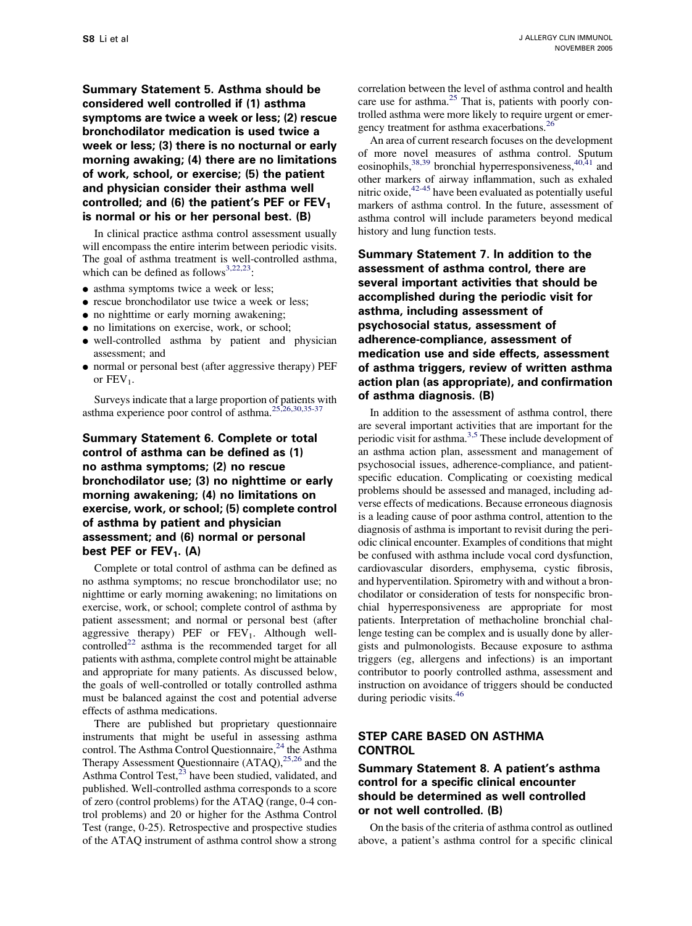Summary Statement 5. Asthma should be considered well controlled if (1) asthma symptoms are twice a week or less; (2) rescue bronchodilator medication is used twice a week or less; (3) there is no nocturnal or early morning awaking; (4) there are no limitations of work, school, or exercise; (5) the patient and physician consider their asthma well controlled; and (6) the patient's PEF or  $FEV<sub>1</sub>$ is normal or his or her personal best. (B)

In clinical practice asthma control assessment usually will encompass the entire interim between periodic visits. The goal of asthma treatment is well-controlled asthma, which can be defined as follows<sup>[3,22,23](#page-7-0)</sup>:

- asthma symptoms twice a week or less;
- <sup>d</sup> rescue bronchodilator use twice a week or less;
- no nighttime or early morning awakening;
- $\bullet$  no limitations on exercise, work, or school;
- <sup>d</sup> well-controlled asthma by patient and physician assessment; and
- normal or personal best (after aggressive therapy) PEF or  $FEV_1$ .

Surveys indicate that a large proportion of patients with asthma experience poor control of asthma.[25,26,30,35-37](#page-7-0)

# Summary Statement 6. Complete or total control of asthma can be defined as (1) no asthma symptoms; (2) no rescue bronchodilator use; (3) no nighttime or early morning awakening; (4) no limitations on exercise, work, or school; (5) complete control of asthma by patient and physician assessment; and (6) normal or personal best PEF or  $FEV_1$ . (A)

Complete or total control of asthma can be defined as no asthma symptoms; no rescue bronchodilator use; no nighttime or early morning awakening; no limitations on exercise, work, or school; complete control of asthma by patient assessment; and normal or personal best (after aggressive therapy) PEF or  $FEV<sub>1</sub>$ . Although well-controlled<sup>[22](#page-7-0)</sup> asthma is the recommended target for all patients with asthma, complete control might be attainable and appropriate for many patients. As discussed below, the goals of well-controlled or totally controlled asthma must be balanced against the cost and potential adverse effects of asthma medications.

There are published but proprietary questionnaire instruments that might be useful in assessing asthma control. The Asthma Control Questionnaire,<sup>[24](#page-7-0)</sup> the Asthma Therapy Assessment Questionnaire (ATAQ),<sup>[25,26](#page-7-0)</sup> and the Asthma Control Test, $^{23}$  $^{23}$  $^{23}$  have been studied, validated, and published. Well-controlled asthma corresponds to a score of zero (control problems) for the ATAQ (range, 0-4 control problems) and 20 or higher for the Asthma Control Test (range, 0-25). Retrospective and prospective studies of the ATAQ instrument of asthma control show a strong correlation between the level of asthma control and health care use for asthma.<sup>[25](#page-7-0)</sup> That is, patients with poorly controlled asthma were more likely to require urgent or emergency treatment for asthma exacerbations.[26](#page-7-0)

An area of current research focuses on the development of more novel measures of asthma control. Sputum eosinophils,<sup>[38,39](#page-7-0)</sup> bronchial hyperresponsiveness,<sup>[40,41](#page-7-0)</sup> and other markers of airway inflammation, such as exhaled nitric oxide,  $42-45$  have been evaluated as potentially useful markers of asthma control. In the future, assessment of asthma control will include parameters beyond medical history and lung function tests.

Summary Statement 7. In addition to the assessment of asthma control, there are several important activities that should be accomplished during the periodic visit for asthma, including assessment of psychosocial status, assessment of adherence-compliance, assessment of medication use and side effects, assessment of asthma triggers, review of written asthma action plan (as appropriate), and confirmation of asthma diagnosis. (B)

In addition to the assessment of asthma control, there are several important activities that are important for the periodic visit for asthma[.3,5](#page-7-0) These include development of an asthma action plan, assessment and management of psychosocial issues, adherence-compliance, and patientspecific education. Complicating or coexisting medical problems should be assessed and managed, including adverse effects of medications. Because erroneous diagnosis is a leading cause of poor asthma control, attention to the diagnosis of asthma is important to revisit during the periodic clinical encounter. Examples of conditions that might be confused with asthma include vocal cord dysfunction, cardiovascular disorders, emphysema, cystic fibrosis, and hyperventilation. Spirometry with and without a bronchodilator or consideration of tests for nonspecific bronchial hyperresponsiveness are appropriate for most patients. Interpretation of methacholine bronchial challenge testing can be complex and is usually done by allergists and pulmonologists. Because exposure to asthma triggers (eg, allergens and infections) is an important contributor to poorly controlled asthma, assessment and instruction on avoidance of triggers should be conducted during periodic visits.<sup>[46](#page-8-0)</sup>

# STEP CARE BASED ON ASTHMA **CONTROL**

# Summary Statement 8. A patient's asthma control for a specific clinical encounter should be determined as well controlled or not well controlled. (B)

On the basis of the criteria of asthma control as outlined above, a patient's asthma control for a specific clinical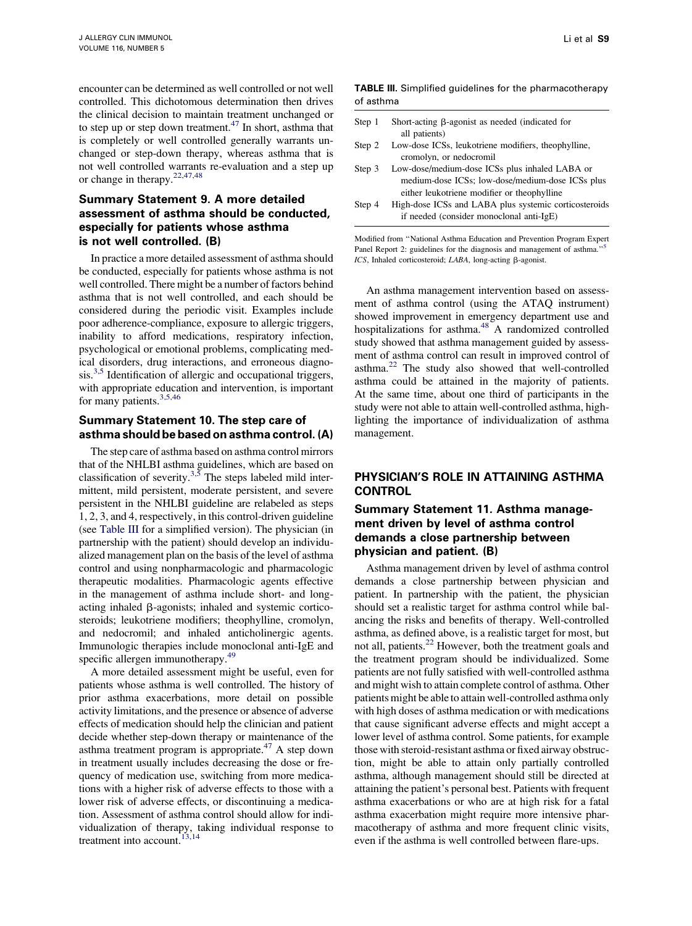encounter can be determined as well controlled or not well controlled. This dichotomous determination then drives the clinical decision to maintain treatment unchanged or to step up or step down treatment.<sup>[47](#page-8-0)</sup> In short, asthma that is completely or well controlled generally warrants unchanged or step-down therapy, whereas asthma that is not well controlled warrants re-evaluation and a step up or change in therapy.[22,47,48](#page-7-0)

# Summary Statement 9. A more detailed assessment of asthma should be conducted, especially for patients whose asthma is not well controlled. (B)

In practice a more detailed assessment of asthma should be conducted, especially for patients whose asthma is not well controlled. There might be a number of factors behind asthma that is not well controlled, and each should be considered during the periodic visit. Examples include poor adherence-compliance, exposure to allergic triggers, inability to afford medications, respiratory infection, psychological or emotional problems, complicating medical disorders, drug interactions, and erroneous diagno- $\sin^{3.5}$  Identification of allergic and occupational triggers, with appropriate education and intervention, is important for many patients.<sup>[3,5,46](#page-7-0)</sup>

### Summary Statement 10. The step care of asthma should be based on asthma control. (A)

The step care of asthma based on asthma control mirrors that of the NHLBI asthma guidelines, which are based on classification of severity.<sup>[3,5](#page-7-0)</sup> The steps labeled mild intermittent, mild persistent, moderate persistent, and severe persistent in the NHLBI guideline are relabeled as steps 1, 2, 3, and 4, respectively, in this control-driven guideline (see Table III for a simplified version). The physician (in partnership with the patient) should develop an individualized management plan on the basis of the level of asthma control and using nonpharmacologic and pharmacologic therapeutic modalities. Pharmacologic agents effective in the management of asthma include short- and longacting inhaled  $\beta$ -agonists; inhaled and systemic corticosteroids; leukotriene modifiers; theophylline, cromolyn, and nedocromil; and inhaled anticholinergic agents. Immunologic therapies include monoclonal anti-IgE and specific allergen immunotherapy.<sup>49</sup>

A more detailed assessment might be useful, even for patients whose asthma is well controlled. The history of prior asthma exacerbations, more detail on possible activity limitations, and the presence or absence of adverse effects of medication should help the clinician and patient decide whether step-down therapy or maintenance of the asthma treatment program is appropriate.<sup>47</sup> A step down in treatment usually includes decreasing the dose or frequency of medication use, switching from more medications with a higher risk of adverse effects to those with a lower risk of adverse effects, or discontinuing a medication. Assessment of asthma control should allow for individualization of therapy, taking individual response to treatment into account.<sup>13,14</sup>

TABLE III. Simplified guidelines for the pharmacotherapy of asthma

| Step 1 | Short-acting $\beta$ -agonist as needed (indicated for                                            |
|--------|---------------------------------------------------------------------------------------------------|
|        | all patients)                                                                                     |
| Step 2 | Low-dose ICSs, leukotriene modifiers, theophylline,<br>cromolyn, or nedocromil                    |
| Step 3 | Low-dose/medium-dose ICSs plus inhaled LABA or                                                    |
|        | medium-dose ICSs: low-dose/medium-dose ICSs plus<br>either leukotriene modifier or theophylline   |
| Step 4 | High-dose ICSs and LABA plus systemic corticosteroids<br>if needed (consider monoclonal anti-IgE) |

Modified from ''National Asthma Education and Prevention Program Expert Panel Report 2: guidelines for the diagnosis and management of asthma."<sup>5</sup>  $ICS$ , Inhaled corticosteroid;  $LABA$ , long-acting  $\beta$ -agonist.

An asthma management intervention based on assessment of asthma control (using the ATAQ instrument) showed improvement in emergency department use and hospitalizations for asthma.<sup>[48](#page-8-0)</sup> A randomized controlled study showed that asthma management guided by assessment of asthma control can result in improved control of asthma.[22](#page-7-0) The study also showed that well-controlled asthma could be attained in the majority of patients. At the same time, about one third of participants in the study were not able to attain well-controlled asthma, highlighting the importance of individualization of asthma management.

# PHYSICIAN'S ROLE IN ATTAINING ASTHMA **CONTROL**

# Summary Statement 11. Asthma management driven by level of asthma control demands a close partnership between physician and patient. (B)

Asthma management driven by level of asthma control demands a close partnership between physician and patient. In partnership with the patient, the physician should set a realistic target for asthma control while balancing the risks and benefits of therapy. Well-controlled asthma, as defined above, is a realistic target for most, but not all, patients.<sup>[22](#page-7-0)</sup> However, both the treatment goals and the treatment program should be individualized. Some patients are not fully satisfied with well-controlled asthma and might wish to attain complete control of asthma. Other patients might be able to attain well-controlled asthma only with high doses of asthma medication or with medications that cause significant adverse effects and might accept a lower level of asthma control. Some patients, for example those with steroid-resistant asthma or fixed airway obstruction, might be able to attain only partially controlled asthma, although management should still be directed at attaining the patient's personal best. Patients with frequent asthma exacerbations or who are at high risk for a fatal asthma exacerbation might require more intensive pharmacotherapy of asthma and more frequent clinic visits, even if the asthma is well controlled between flare-ups.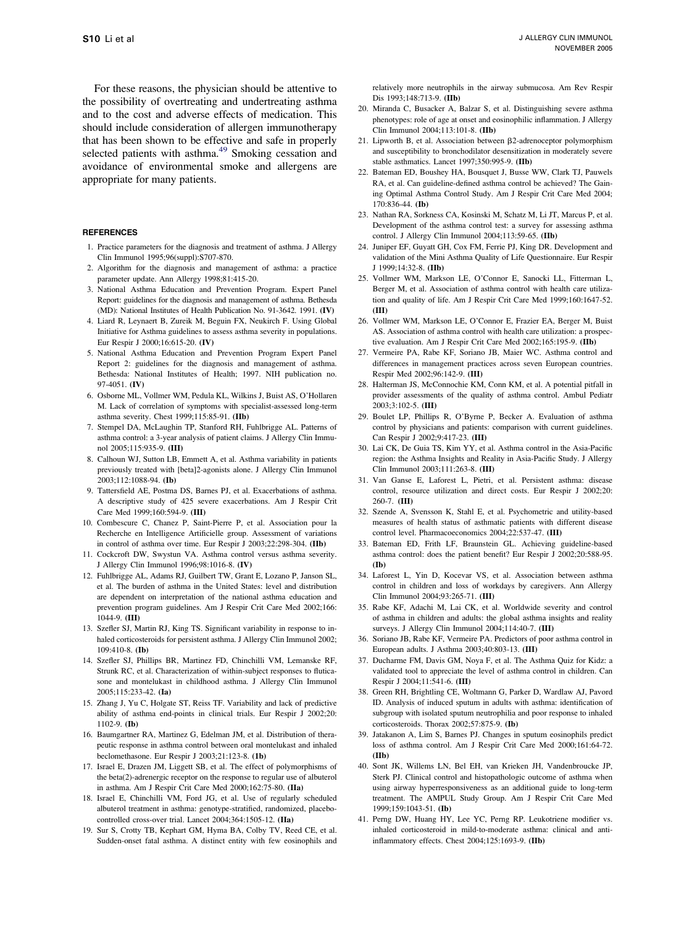<span id="page-7-0"></span>For these reasons, the physician should be attentive to the possibility of overtreating and undertreating asthma and to the cost and adverse effects of medication. This should include consideration of allergen immunotherapy that has been shown to be effective and safe in properly selected patients with asthma.<sup>49</sup> Smoking cessation and avoidance of environmental smoke and allergens are appropriate for many patients.

#### **REFERENCES**

- 1. Practice parameters for the diagnosis and treatment of asthma. J Allergy Clin Immunol 1995;96(suppl):S707-870.
- 2. Algorithm for the diagnosis and management of asthma: a practice parameter update. Ann Allergy 1998;81:415-20.
- 3. National Asthma Education and Prevention Program. Expert Panel Report: guidelines for the diagnosis and management of asthma. Bethesda (MD): National Institutes of Health Publication No. 91-3642. 1991. (IV)
- 4. Liard R, Leynaert B, Zureik M, Beguin FX, Neukirch F. Using Global Initiative for Asthma guidelines to assess asthma severity in populations. Eur Respir J 2000;16:615-20. (IV)
- 5. National Asthma Education and Prevention Program Expert Panel Report 2: guidelines for the diagnosis and management of asthma. Bethesda: National Institutes of Health; 1997. NIH publication no. 97-4051. (IV)
- 6. Osborne ML, Vollmer WM, Pedula KL, Wilkins J, Buist AS, O'Hollaren M. Lack of correlation of symptoms with specialist-assessed long-term asthma severity. Chest 1999;115:85-91. (IIb)
- 7. Stempel DA, McLaughin TP, Stanford RH, Fuhlbrigge AL. Patterns of asthma control: a 3-year analysis of patient claims. J Allergy Clin Immunol 2005;115:935-9. (III)
- 8. Calhoun WJ, Sutton LB, Emmett A, et al. Asthma variability in patients previously treated with [beta]2-agonists alone. J Allergy Clin Immunol 2003;112:1088-94. (Ib)
- 9. Tattersfield AE, Postma DS, Barnes PJ, et al. Exacerbations of asthma. A descriptive study of 425 severe exacerbations. Am J Respir Crit Care Med 1999;160:594-9. (III)
- 10. Combescure C, Chanez P, Saint-Pierre P, et al. Association pour la Recherche en Intelligence Artificielle group. Assessment of variations in control of asthma over time. Eur Respir J 2003;22:298-304. (IIb)
- 11. Cockcroft DW, Swystun VA. Asthma control versus asthma severity. J Allergy Clin Immunol 1996;98:1016-8. (IV)
- 12. Fuhlbrigge AL, Adams RJ, Guilbert TW, Grant E, Lozano P, Janson SL, et al. The burden of asthma in the United States: level and distribution are dependent on interpretation of the national asthma education and prevention program guidelines. Am J Respir Crit Care Med 2002;166: 1044-9. (III)
- 13. Szefler SJ, Martin RJ, King TS. Significant variability in response to inhaled corticosteroids for persistent asthma. J Allergy Clin Immunol 2002; 109:410-8. (Ib)
- 14. Szefler SJ, Phillips BR, Martinez FD, Chinchilli VM, Lemanske RF, Strunk RC, et al. Characterization of within-subject responses to fluticasone and montelukast in childhood asthma. J Allergy Clin Immunol 2005;115:233-42. (Ia)
- 15. Zhang J, Yu C, Holgate ST, Reiss TF. Variability and lack of predictive ability of asthma end-points in clinical trials. Eur Respir J 2002;20: 1102-9. (Ib)
- 16. Baumgartner RA, Martinez G, Edelman JM, et al. Distribution of therapeutic response in asthma control between oral montelukast and inhaled beclomethasone. Eur Respir J 2003;21:123-8. (1b)
- 17. Israel E, Drazen JM, Liggett SB, et al. The effect of polymorphisms of the beta(2)-adrenergic receptor on the response to regular use of albuterol in asthma. Am J Respir Crit Care Med 2000;162:75-80. (IIa)
- 18. Israel E, Chinchilli VM, Ford JG, et al. Use of regularly scheduled albuterol treatment in asthma: genotype-stratified, randomized, placebocontrolled cross-over trial. Lancet 2004;364:1505-12. (IIa)
- 19. Sur S, Crotty TB, Kephart GM, Hyma BA, Colby TV, Reed CE, et al. Sudden-onset fatal asthma. A distinct entity with few eosinophils and

relatively more neutrophils in the airway submucosa. Am Rev Respir Dis 1993;148:713-9. (IIb)

- 20. Miranda C, Busacker A, Balzar S, et al. Distinguishing severe asthma phenotypes: role of age at onset and eosinophilic inflammation. J Allergy Clin Immunol 2004;113:101-8. (IIb)
- 21. Lipworth B, et al. Association between  $\beta$ 2-adrenoceptor polymorphism and susceptibility to bronchodilator desensitization in moderately severe stable asthmatics. Lancet 1997;350:995-9. (IIb)
- 22. Bateman ED, Boushey HA, Bousquet J, Busse WW, Clark TJ, Pauwels RA, et al. Can guideline-defined asthma control be achieved? The Gaining Optimal Asthma Control Study. Am J Respir Crit Care Med 2004; 170:836-44. (Ib)
- 23. Nathan RA, Sorkness CA, Kosinski M, Schatz M, Li JT, Marcus P, et al. Development of the asthma control test: a survey for assessing asthma control. J Allergy Clin Immunol 2004;113:59-65. (IIb)
- 24. Juniper EF, Guyatt GH, Cox FM, Ferrie PJ, King DR. Development and validation of the Mini Asthma Quality of Life Questionnaire. Eur Respir J 1999;14:32-8. (IIb)
- 25. Vollmer WM, Markson LE, O'Connor E, Sanocki LL, Fitterman L, Berger M, et al. Association of asthma control with health care utilization and quality of life. Am J Respir Crit Care Med 1999;160:1647-52. (III)
- 26. Vollmer WM, Markson LE, O'Connor E, Frazier EA, Berger M, Buist AS. Association of asthma control with health care utilization: a prospective evaluation. Am J Respir Crit Care Med 2002;165:195-9. (IIb)
- 27. Vermeire PA, Rabe KF, Soriano JB, Maier WC. Asthma control and differences in management practices across seven European countries. Respir Med 2002;96:142-9. (III)
- 28. Halterman JS, McConnochie KM, Conn KM, et al. A potential pitfall in provider assessments of the quality of asthma control. Ambul Pediatr 2003;3:102-5. (III)
- 29. Boulet LP, Phillips R, O'Byrne P, Becker A. Evaluation of asthma control by physicians and patients: comparison with current guidelines. Can Respir J 2002;9:417-23. (III)
- 30. Lai CK, De Guia TS, Kim YY, et al. Asthma control in the Asia-Pacific region: the Asthma Insights and Reality in Asia-Pacific Study. J Allergy Clin Immunol 2003;111:263-8. (III)
- 31. Van Ganse E, Laforest L, Pietri, et al. Persistent asthma: disease control, resource utilization and direct costs. Eur Respir J 2002;20: 260-7. (III)
- 32. Szende A, Svensson K, Stahl E, et al. Psychometric and utility-based measures of health status of asthmatic patients with different disease control level. Pharmacoeconomics 2004;22:537-47. (III)
- 33. Bateman ED, Frith LF, Braunstein GL. Achieving guideline-based asthma control: does the patient benefit? Eur Respir J 2002;20:588-95. (Ib)
- 34. Laforest L, Yin D, Kocevar VS, et al. Association between asthma control in children and loss of workdays by caregivers. Ann Allergy Clin Immunol 2004;93:265-71. (III)
- 35. Rabe KF, Adachi M, Lai CK, et al. Worldwide severity and control of asthma in children and adults: the global asthma insights and reality surveys. J Allergy Clin Immunol 2004;114:40-7. (III)
- 36. Soriano JB, Rabe KF, Vermeire PA. Predictors of poor asthma control in European adults. J Asthma 2003;40:803-13. (III)
- 37. Ducharme FM, Davis GM, Noya F, et al. The Asthma Quiz for Kidz: a validated tool to appreciate the level of asthma control in children. Can Respir J 2004;11:541-6. (III)
- 38. Green RH, Brightling CE, Woltmann G, Parker D, Wardlaw AJ, Pavord ID. Analysis of induced sputum in adults with asthma: identification of subgroup with isolated sputum neutrophilia and poor response to inhaled corticosteroids. Thorax 2002;57:875-9. (Ib)
- 39. Jatakanon A, Lim S, Barnes PJ. Changes in sputum eosinophils predict loss of asthma control. Am J Respir Crit Care Med 2000;161:64-72. (IIb)
- 40. Sont JK, Willems LN, Bel EH, van Krieken JH, Vandenbroucke JP, Sterk PJ. Clinical control and histopathologic outcome of asthma when using airway hyperresponsiveness as an additional guide to long-term treatment. The AMPUL Study Group. Am J Respir Crit Care Med 1999;159:1043-51. (Ib)
- 41. Perng DW, Huang HY, Lee YC, Perng RP. Leukotriene modifier vs. inhaled corticosteroid in mild-to-moderate asthma: clinical and antiinflammatory effects. Chest 2004;125:1693-9. (IIb)